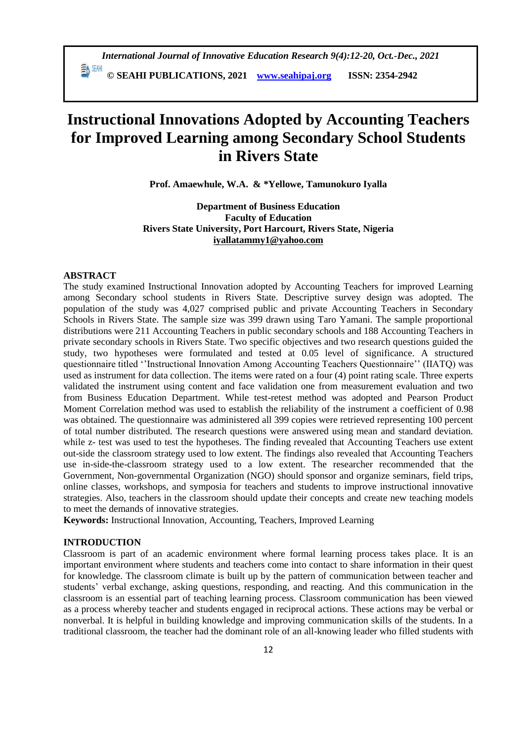**© SEAHI PUBLICATIONS, 2021 [www.seahipaj.org](http://www.seahipaj.org/) ISSN: 2354-2942**

# **Instructional Innovations Adopted by Accounting Teachers for Improved Learning among Secondary School Students in Rivers State**

**Prof. Amaewhule, W.A. & \*Yellowe, Tamunokuro Iyalla**

**Department of Business Education Faculty of Education Rivers State University, Port Harcourt, Rivers State, Nigeria [iyallatammy1@yahoo.com](mailto:iyallatammy1@yahoo.com)**

# **ABSTRACT**

The study examined Instructional Innovation adopted by Accounting Teachers for improved Learning among Secondary school students in Rivers State. Descriptive survey design was adopted. The population of the study was 4,027 comprised public and private Accounting Teachers in Secondary Schools in Rivers State. The sample size was 399 drawn using Taro Yamani. The sample proportional distributions were 211 Accounting Teachers in public secondary schools and 188 Accounting Teachers in private secondary schools in Rivers State. Two specific objectives and two research questions guided the study, two hypotheses were formulated and tested at 0.05 level of significance. A structured questionnaire titled ''Instructional Innovation Among Accounting Teachers Questionnaire'' (IIATQ) was used as instrument for data collection. The items were rated on a four (4) point rating scale. Three experts validated the instrument using content and face validation one from measurement evaluation and two from Business Education Department. While test-retest method was adopted and Pearson Product Moment Correlation method was used to establish the reliability of the instrument a coefficient of 0.98 was obtained. The questionnaire was administered all 399 copies were retrieved representing 100 percent of total number distributed. The research questions were answered using mean and standard deviation. while z- test was used to test the hypotheses. The finding revealed that Accounting Teachers use extent out-side the classroom strategy used to low extent. The findings also revealed that Accounting Teachers use in-side-the-classroom strategy used to a low extent. The researcher recommended that the Government, Non-governmental Organization (NGO) should sponsor and organize seminars, field trips, online classes, workshops, and symposia for teachers and students to improve instructional innovative strategies. Also, teachers in the classroom should update their concepts and create new teaching models to meet the demands of innovative strategies.

**Keywords:** Instructional Innovation, Accounting, Teachers, Improved Learning

#### **INTRODUCTION**

Classroom is part of an academic environment where formal learning process takes place. It is an important environment where students and teachers come into contact to share information in their quest for knowledge. The classroom climate is built up by the pattern of communication between teacher and students' verbal exchange, asking questions, responding, and reacting. And this communication in the classroom is an essential part of teaching learning process. Classroom communication has been viewed as a process whereby teacher and students engaged in reciprocal actions. These actions may be verbal or nonverbal. It is helpful in building knowledge and improving communication skills of the students. In a traditional classroom, the teacher had the dominant role of an all-knowing leader who filled students with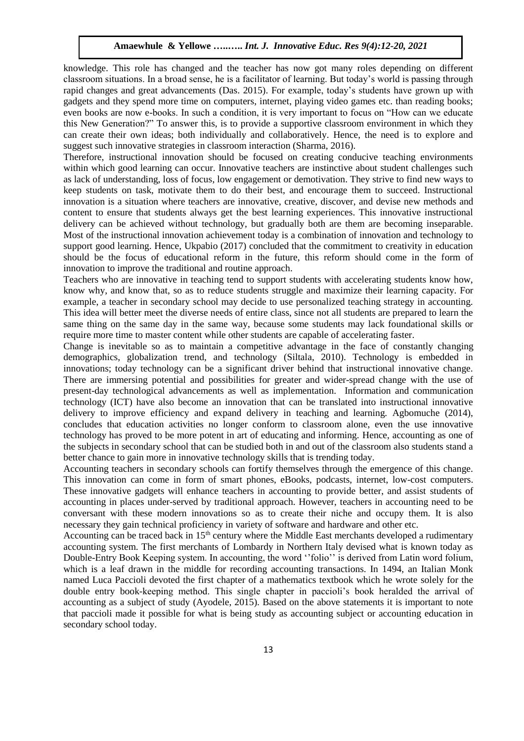knowledge. This role has changed and the teacher has now got many roles depending on different classroom situations. In a broad sense, he is a facilitator of learning. But today's world is passing through rapid changes and great advancements (Das. 2015). For example, today's students have grown up with gadgets and they spend more time on computers, internet, playing video games etc. than reading books; even books are now e-books. In such a condition, it is very important to focus on "How can we educate this New Generation?" To answer this, is to provide a supportive classroom environment in which they can create their own ideas; both individually and collaboratively. Hence, the need is to explore and suggest such innovative strategies in classroom interaction (Sharma, 2016).

Therefore, instructional innovation should be focused on creating conducive teaching environments within which good learning can occur. Innovative teachers are instinctive about student challenges such as lack of understanding, loss of focus, low engagement or demotivation. They strive to find new ways to keep students on task, motivate them to do their best, and encourage them to succeed. Instructional innovation is a situation where teachers are innovative, creative, discover, and devise new methods and content to ensure that students always get the best learning experiences. This innovative instructional delivery can be achieved without technology, but gradually both are them are becoming inseparable. Most of the instructional innovation achievement today is a combination of innovation and technology to support good learning. Hence, Ukpabio (2017) concluded that the commitment to creativity in education should be the focus of educational reform in the future, this reform should come in the form of innovation to improve the traditional and routine approach.

Teachers who are innovative in teaching tend to support students with accelerating students know how, know why, and know that, so as to reduce students struggle and maximize their learning capacity. For example, a teacher in secondary school may decide to use personalized teaching strategy in accounting. This idea will better meet the diverse needs of entire class, since not all students are prepared to learn the same thing on the same day in the same way, because some students may lack foundational skills or require more time to master content while other students are capable of accelerating faster.

Change is inevitable so as to maintain a competitive advantage in the face of constantly changing demographics, globalization trend, and technology (Siltala, 2010). Technology is embedded in innovations; today technology can be a significant driver behind that instructional innovative change. There are immersing potential and possibilities for greater and wider-spread change with the use of present-day technological advancements as well as implementation. Information and communication technology (ICT) have also become an innovation that can be translated into instructional innovative delivery to improve efficiency and expand delivery in teaching and learning. Agbomuche (2014), concludes that education activities no longer conform to classroom alone, even the use innovative technology has proved to be more potent in art of educating and informing. Hence, accounting as one of the subjects in secondary school that can be studied both in and out of the classroom also students stand a better chance to gain more in innovative technology skills that is trending today.

Accounting teachers in secondary schools can fortify themselves through the emergence of this change. This innovation can come in form of smart phones, eBooks, podcasts, internet, low-cost computers. These innovative gadgets will enhance teachers in accounting to provide better, and assist students of accounting in places under-served by traditional approach. However, teachers in accounting need to be conversant with these modern innovations so as to create their niche and occupy them. It is also necessary they gain technical proficiency in variety of software and hardware and other etc.

Accounting can be traced back in  $15<sup>th</sup>$  century where the Middle East merchants developed a rudimentary accounting system. The first merchants of Lombardy in Northern Italy devised what is known today as Double-Entry Book Keeping system. In accounting, the word ''folio'' is derived from Latin word folium, which is a leaf drawn in the middle for recording accounting transactions. In 1494, an Italian Monk named Luca Paccioli devoted the first chapter of a mathematics textbook which he wrote solely for the double entry book-keeping method. This single chapter in paccioli's book heralded the arrival of accounting as a subject of study (Ayodele, 2015). Based on the above statements it is important to note that paccioli made it possible for what is being study as accounting subject or accounting education in secondary school today.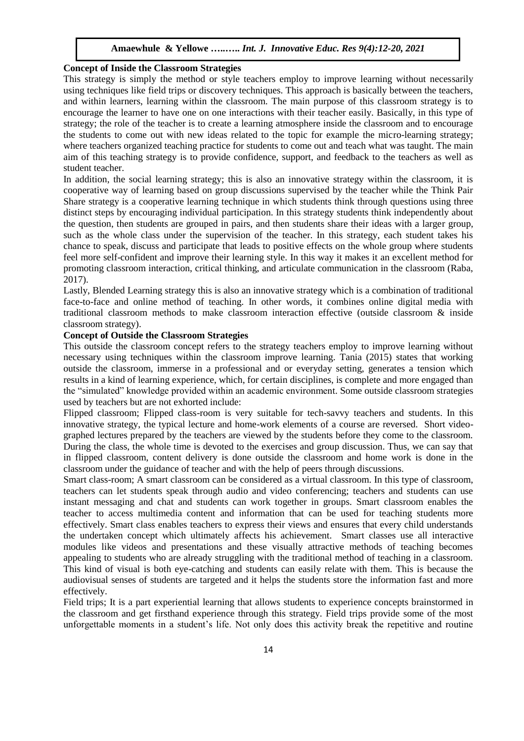#### **Concept of Inside the Classroom Strategies**

This strategy is simply the method or style teachers employ to improve learning without necessarily using techniques like field trips or discovery techniques. This approach is basically between the teachers, and within learners, learning within the classroom. The main purpose of this classroom strategy is to encourage the learner to have one on one interactions with their teacher easily. Basically, in this type of strategy; the role of the teacher is to create a learning atmosphere inside the classroom and to encourage the students to come out with new ideas related to the topic for example the micro-learning strategy; where teachers organized teaching practice for students to come out and teach what was taught. The main aim of this teaching strategy is to provide confidence, support, and feedback to the teachers as well as student teacher.

In addition, the social learning strategy; this is also an innovative strategy within the classroom, it is cooperative way of learning based on group discussions supervised by the teacher while the Think Pair Share strategy is a cooperative learning technique in which students think through questions using three distinct steps by encouraging individual participation. In this strategy students think independently about the question, then students are grouped in pairs, and then students share their ideas with a larger group, such as the whole class under the supervision of the teacher. In this strategy, each student takes his chance to speak, discuss and participate that leads to positive effects on the whole group where students feel more self-confident and improve their learning style. In this way it makes it an excellent method for promoting classroom interaction, critical thinking, and articulate communication in the classroom (Raba, 2017).

Lastly, Blended Learning strategy this is also an innovative strategy which is a combination of traditional face-to-face and online method of teaching. In other words, it combines online digital media with traditional classroom methods to make classroom interaction effective (outside classroom & inside classroom strategy).

#### **Concept of Outside the Classroom Strategies**

This outside the classroom concept refers to the strategy teachers employ to improve learning without necessary using techniques within the classroom improve learning. Tania (2015) states that working outside the classroom, immerse in a professional and or everyday setting, generates a tension which results in a kind of learning experience, which, for certain disciplines, is complete and more engaged than the "simulated" knowledge provided within an academic environment. Some outside classroom strategies used by teachers but are not exhorted include:

Flipped classroom; Flipped class-room is very suitable for tech-savvy teachers and students. In this innovative strategy, the typical lecture and home-work elements of a course are reversed. Short videographed lectures prepared by the teachers are viewed by the students before they come to the classroom. During the class, the whole time is devoted to the exercises and group discussion. Thus, we can say that in flipped classroom, content delivery is done outside the classroom and home work is done in the classroom under the guidance of teacher and with the help of peers through discussions.

Smart class-room; A smart classroom can be considered as a virtual classroom. In this type of classroom, teachers can let students speak through audio and video conferencing; teachers and students can use instant messaging and chat and students can work together in groups. Smart classroom enables the teacher to access multimedia content and information that can be used for teaching students more effectively. Smart class enables teachers to express their views and ensures that every child understands the undertaken concept which ultimately affects his achievement. Smart classes use all interactive modules like videos and presentations and these visually attractive methods of teaching becomes appealing to students who are already struggling with the traditional method of teaching in a classroom. This kind of visual is both eye-catching and students can easily relate with them. This is because the audiovisual senses of students are targeted and it helps the students store the information fast and more effectively.

Field trips; It is a part experiential learning that allows students to experience concepts brainstormed in the classroom and get firsthand experience through this strategy. Field trips provide some of the most unforgettable moments in a student's life. Not only does this activity break the repetitive and routine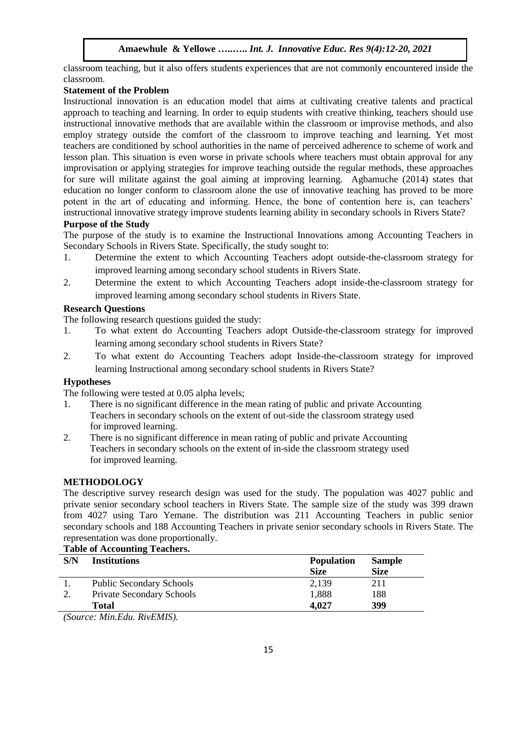classroom teaching, but it also offers students experiences that are not commonly encountered inside the classroom.

## **Statement of the Problem**

Instructional innovation is an education model that aims at cultivating creative talents and practical approach to teaching and learning. In order to equip students with creative thinking, teachers should use instructional innovative methods that are available within the classroom or improvise methods, and also employ strategy outside the comfort of the classroom to improve teaching and learning. Yet most teachers are conditioned by school authorities in the name of perceived adherence to scheme of work and lesson plan. This situation is even worse in private schools where teachers must obtain approval for any improvisation or applying strategies for improve teaching outside the regular methods, these approaches for sure will militate against the goal aiming at improving learning. Agbamuche (2014) states that education no longer conform to classroom alone the use of innovative teaching has proved to be more potent in the art of educating and informing. Hence, the bone of contention here is, can teachers' instructional innovative strategy improve students learning ability in secondary schools in Rivers State?

## **Purpose of the Study**

The purpose of the study is to examine the Instructional Innovations among Accounting Teachers in Secondary Schools in Rivers State. Specifically, the study sought to:

- 1. Determine the extent to which Accounting Teachers adopt outside-the-classroom strategy for improved learning among secondary school students in Rivers State.
- 2. Determine the extent to which Accounting Teachers adopt inside-the-classroom strategy for improved learning among secondary school students in Rivers State.

## **Research Questions**

The following research questions guided the study:

- 1. To what extent do Accounting Teachers adopt Outside-the-classroom strategy for improved learning among secondary school students in Rivers State?
- 2. To what extent do Accounting Teachers adopt Inside-the-classroom strategy for improved learning Instructional among secondary school students in Rivers State?

## **Hypotheses**

The following were tested at 0.05 alpha levels;

- 1. There is no significant difference in the mean rating of public and private Accounting Teachers in secondary schools on the extent of out-side the classroom strategy used for improved learning.
- 2. There is no significant difference in mean rating of public and private Accounting Teachers in secondary schools on the extent of in-side the classroom strategy used for improved learning.

# **METHODOLOGY**

The descriptive survey research design was used for the study. The population was 4027 public and private senior secondary school teachers in Rivers State. The sample size of the study was 399 drawn from 4027 using Taro Yemane. The distribution was 211 Accounting Teachers in public senior secondary schools and 188 Accounting Teachers in private senior secondary schools in Rivers State. The representation was done proportionally.

#### **Table of Accounting Teachers.**

| S/N | <b>Institutions</b>              | <b>Population</b> | <b>Sample</b> |  |
|-----|----------------------------------|-------------------|---------------|--|
|     |                                  | <b>Size</b>       | <b>Size</b>   |  |
|     | <b>Public Secondary Schools</b>  | 2,139             | 211           |  |
|     | <b>Private Secondary Schools</b> | 1,888             | 188           |  |
|     | <b>Total</b>                     | 4,027             | 399           |  |
|     |                                  |                   |               |  |

*(Source: Min.Edu. RivEMIS).*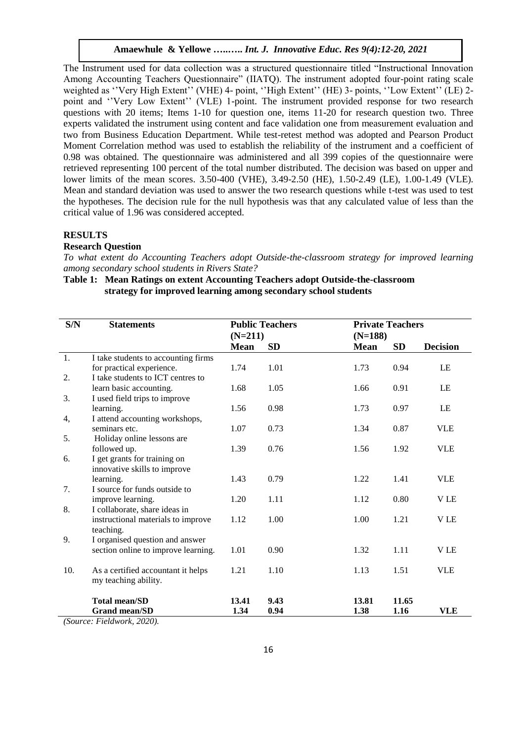The Instrument used for data collection was a structured questionnaire titled "Instructional Innovation Among Accounting Teachers Questionnaire" (IIATQ). The instrument adopted four-point rating scale weighted as ''Very High Extent'' (VHE) 4- point, ''High Extent'' (HE) 3- points, ''Low Extent'' (LE) 2 point and ''Very Low Extent'' (VLE) 1-point. The instrument provided response for two research questions with 20 items; Items 1-10 for question one, items 11-20 for research question two. Three experts validated the instrument using content and face validation one from measurement evaluation and two from Business Education Department. While test-retest method was adopted and Pearson Product Moment Correlation method was used to establish the reliability of the instrument and a coefficient of 0.98 was obtained*.* The questionnaire was administered and all 399 copies of the questionnaire were retrieved representing 100 percent of the total number distributed. The decision was based on upper and lower limits of the mean scores. 3.50-400 (VHE), 3.49-2.50 (HE), 1.50-2.49 (LE), 1.00-1.49 (VLE). Mean and standard deviation was used to answer the two research questions while t-test was used to test the hypotheses. The decision rule for the null hypothesis was that any calculated value of less than the critical value of 1.96 was considered accepted.

#### **RESULTS**

#### **Research Question**

*To what extent do Accounting Teachers adopt Outside-the-classroom strategy for improved learning among secondary school students in Rivers State?*

## **Table 1: Mean Ratings on extent Accounting Teachers adopt Outside-the-classroom strategy for improved learning among secondary school students**

| S/N        | <b>Statements</b>                   | <b>Public Teachers</b> |           | <b>Private Teachers</b> |           |                 |  |
|------------|-------------------------------------|------------------------|-----------|-------------------------|-----------|-----------------|--|
|            |                                     | $(N=211)$              |           | $(N=188)$               |           |                 |  |
|            |                                     | <b>Mean</b>            | <b>SD</b> | <b>Mean</b>             | <b>SD</b> | <b>Decision</b> |  |
| 1.         | I take students to accounting firms |                        |           |                         |           |                 |  |
|            | for practical experience.           | 1.74                   | 1.01      | 1.73                    | 0.94      | LE              |  |
| 2.         | I take students to ICT centres to   |                        |           |                         |           |                 |  |
|            | learn basic accounting.             | 1.68                   | 1.05      | 1.66                    | 0.91      | LE              |  |
| 3.         | I used field trips to improve       |                        |           |                         |           |                 |  |
|            | learning.                           | 1.56                   | 0.98      | 1.73                    | 0.97      | LE              |  |
| 4,         | I attend accounting workshops,      |                        |           |                         |           |                 |  |
|            | seminars etc.                       | 1.07                   | 0.73      | 1.34                    | 0.87      | <b>VLE</b>      |  |
| 5.         | Holiday online lessons are          |                        |           |                         |           |                 |  |
|            | followed up.                        | 1.39                   | 0.76      | 1.56                    | 1.92      | <b>VLE</b>      |  |
| 6.         | I get grants for training on        |                        |           |                         |           |                 |  |
|            | innovative skills to improve        |                        |           |                         |           |                 |  |
|            | learning.                           | 1.43                   | 0.79      | 1.22                    | 1.41      | <b>VLE</b>      |  |
| 7.         | I source for funds outside to       |                        |           |                         |           |                 |  |
|            | improve learning.                   | 1.20                   | 1.11      | 1.12                    | 0.80      | <b>VLE</b>      |  |
| 8.         | I collaborate, share ideas in       |                        |           |                         |           |                 |  |
|            | instructional materials to improve  | 1.12                   | 1.00      | 1.00                    | 1.21      | <b>VLE</b>      |  |
|            | teaching.                           |                        |           |                         |           |                 |  |
| 9.         | I organised question and answer     |                        |           |                         |           |                 |  |
|            | section online to improve learning. | 1.01                   | 0.90      | 1.32                    | 1.11      | <b>VLE</b>      |  |
| 10.        | As a certified accountant it helps  | 1.21                   | 1.10      | 1.13                    | 1.51      | <b>VLE</b>      |  |
|            | my teaching ability.                |                        |           |                         |           |                 |  |
|            | <b>Total mean/SD</b>                | 13.41                  | 9.43      | 13.81                   | 11.65     |                 |  |
|            | <b>Grand mean/SD</b>                | 1.34                   | 0.94      | 1.38                    | 1.16      | <b>VLE</b>      |  |
| $\sqrt{a}$ | $E: I I \rightarrow A A A$          |                        |           |                         |           |                 |  |

*(Source: Fieldwork, 2020).*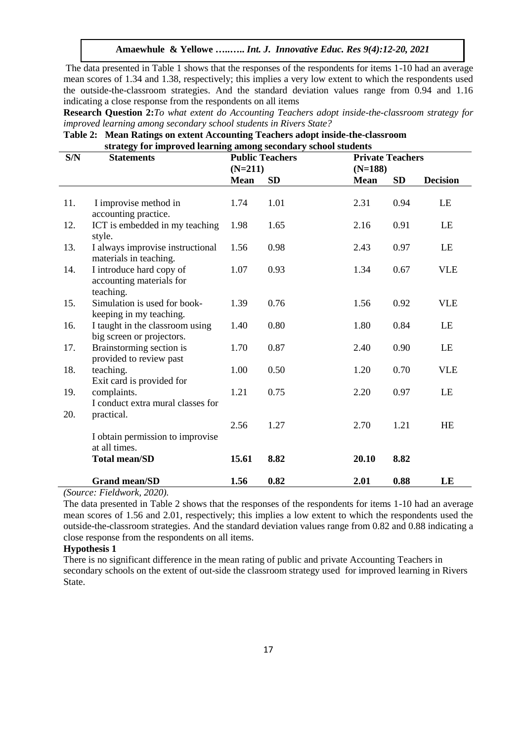The data presented in Table 1 shows that the responses of the respondents for items 1-10 had an average mean scores of 1.34 and 1.38, respectively; this implies a very low extent to which the respondents used the outside-the-classroom strategies. And the standard deviation values range from 0.94 and 1.16 indicating a close response from the respondents on all items

**Research Question 2:***To what extent do Accounting Teachers adopt inside-the-classroom strategy for improved learning among secondary school students in Rivers State?*

## **Table 2: Mean Ratings on extent Accounting Teachers adopt inside-the-classroom strategy for improved learning among secondary school students**

| S/N | $\frac{1}{2}$ . The improved rearning among becomen $j$ behoof between<br><b>Statements</b> |             | <b>Public Teachers</b> | <b>Private Teachers</b> |      |                 |
|-----|---------------------------------------------------------------------------------------------|-------------|------------------------|-------------------------|------|-----------------|
|     |                                                                                             | $(N=211)$   |                        | $(N=188)$               |      |                 |
|     |                                                                                             | <b>Mean</b> | <b>SD</b>              | <b>Mean</b>             | SD   | <b>Decision</b> |
|     |                                                                                             |             |                        |                         |      |                 |
| 11. | I improvise method in<br>accounting practice.                                               | 1.74        | 1.01                   | 2.31                    | 0.94 | LE              |
| 12. | ICT is embedded in my teaching<br>style.                                                    | 1.98        | 1.65                   | 2.16                    | 0.91 | LE              |
| 13. | I always improvise instructional<br>materials in teaching.                                  | 1.56        | 0.98                   | 2.43                    | 0.97 | LE              |
| 14. | I introduce hard copy of<br>accounting materials for<br>teaching.                           | 1.07        | 0.93                   | 1.34                    | 0.67 | <b>VLE</b>      |
| 15. | Simulation is used for book-<br>keeping in my teaching.                                     | 1.39        | 0.76                   | 1.56                    | 0.92 | <b>VLE</b>      |
| 16. | I taught in the classroom using<br>big screen or projectors.                                | 1.40        | 0.80                   | 1.80                    | 0.84 | LE              |
| 17. | Brainstorming section is<br>provided to review past                                         | 1.70        | 0.87                   | 2.40                    | 0.90 | LE              |
| 18. | teaching.<br>Exit card is provided for                                                      | 1.00        | 0.50                   | 1.20                    | 0.70 | <b>VLE</b>      |
| 19. | complaints.<br>I conduct extra mural classes for                                            | 1.21        | 0.75                   | 2.20                    | 0.97 | LE              |
| 20. | practical.                                                                                  | 2.56        | 1.27                   | 2.70                    | 1.21 | <b>HE</b>       |
|     | I obtain permission to improvise<br>at all times.                                           |             |                        |                         |      |                 |
|     | <b>Total mean/SD</b>                                                                        | 15.61       | 8.82                   | 20.10                   | 8.82 |                 |
|     | <b>Grand mean/SD</b>                                                                        | 1.56        | 0.82                   | 2.01                    | 0.88 | LE              |

*(Source: Fieldwork, 2020).* 

The data presented in Table 2 shows that the responses of the respondents for items 1-10 had an average mean scores of 1.56 and 2.01, respectively; this implies a low extent to which the respondents used the outside-the-classroom strategies. And the standard deviation values range from 0.82 and 0.88 indicating a close response from the respondents on all items.

#### **Hypothesis 1**

There is no significant difference in the mean rating of public and private Accounting Teachers in secondary schools on the extent of out-side the classroom strategy used for improved learning in Rivers State.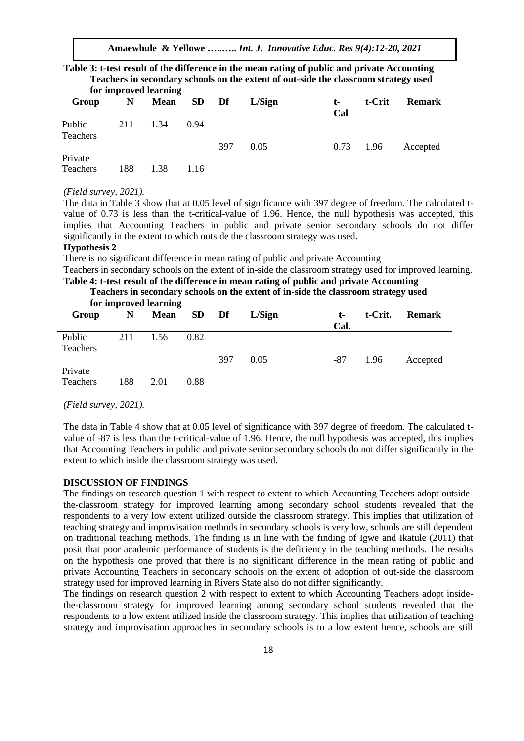**Amaewhule & Yellowe …..…..** *Int. J. Innovative Educ. Res 9(4):12-20, 2021*

| $\sim$ . The secondary $\mu$ seriously on the enterty of our state that enterty one state $\mu$ , where<br>for improved learning |     |             |           |     |        |           |        |               |  |
|----------------------------------------------------------------------------------------------------------------------------------|-----|-------------|-----------|-----|--------|-----------|--------|---------------|--|
| Group                                                                                                                            | N   | <b>Mean</b> | <b>SD</b> | Df  | L/Sign | t-<br>Cal | t-Crit | <b>Remark</b> |  |
| Public<br>Teachers                                                                                                               | 211 | 1.34        | 0.94      | 397 | 0.05   | 0.73      | 1.96   | Accepted      |  |
| Private<br>Teachers                                                                                                              | 188 | 1.38        | 1.16      |     |        |           |        |               |  |

**Table 3: t-test result of the difference in the mean rating of public and private Accounting Teachers in secondary schools on the extent of out-side the classroom strategy used** 

*(Field survey, 2021).*

The data in Table 3 show that at 0.05 level of significance with 397 degree of freedom. The calculated tvalue of 0.73 is less than the t-critical-value of 1.96. Hence, the null hypothesis was accepted, this implies that Accounting Teachers in public and private senior secondary schools do not differ significantly in the extent to which outside the classroom strategy was used.

## **Hypothesis 2**

There is no significant difference in mean rating of public and private Accounting

Teachers in secondary schools on the extent of in-side the classroom strategy used for improved learning.

#### **Table 4: t-test result of the difference in mean rating of public and private Accounting Teachers in secondary schools on the extent of in-side the classroom strategy used for improved learning**

|                    |     | TVI IIIIprovcu icalifiile |       |     |        |      |         |               |
|--------------------|-----|---------------------------|-------|-----|--------|------|---------|---------------|
| Group              | N   | <b>Mean</b>               | SD Df |     | L/Sign | t-   | t-Crit. | <b>Remark</b> |
|                    |     |                           |       |     |        | Cal. |         |               |
| Public<br>Teachers | 211 | 1.56                      | 0.82  |     |        |      |         |               |
|                    |     |                           |       | 397 | 0.05   | -87  | 1.96    | Accepted      |
| Private            |     |                           |       |     |        |      |         |               |
| Teachers           | 188 | 2.01                      | 0.88  |     |        |      |         |               |

*(Field survey, 2021).*

The data in Table 4 show that at 0.05 level of significance with 397 degree of freedom. The calculated tvalue of -87 is less than the t-critical-value of 1.96. Hence, the null hypothesis was accepted, this implies that Accounting Teachers in public and private senior secondary schools do not differ significantly in the extent to which inside the classroom strategy was used.

#### **DISCUSSION OF FINDINGS**

The findings on research question 1 with respect to extent to which Accounting Teachers adopt outsidethe-classroom strategy for improved learning among secondary school students revealed that the respondents to a very low extent utilized outside the classroom strategy. This implies that utilization of teaching strategy and improvisation methods in secondary schools is very low, schools are still dependent on traditional teaching methods. The finding is in line with the finding of Igwe and Ikatule (2011) that posit that poor academic performance of students is the deficiency in the teaching methods. The results on the hypothesis one proved that there is no significant difference in the mean rating of public and private Accounting Teachers in secondary schools on the extent of adoption of out-side the classroom strategy used for improved learning in Rivers State also do not differ significantly.

The findings on research question 2 with respect to extent to which Accounting Teachers adopt insidethe-classroom strategy for improved learning among secondary school students revealed that the respondents to a low extent utilized inside the classroom strategy. This implies that utilization of teaching strategy and improvisation approaches in secondary schools is to a low extent hence, schools are still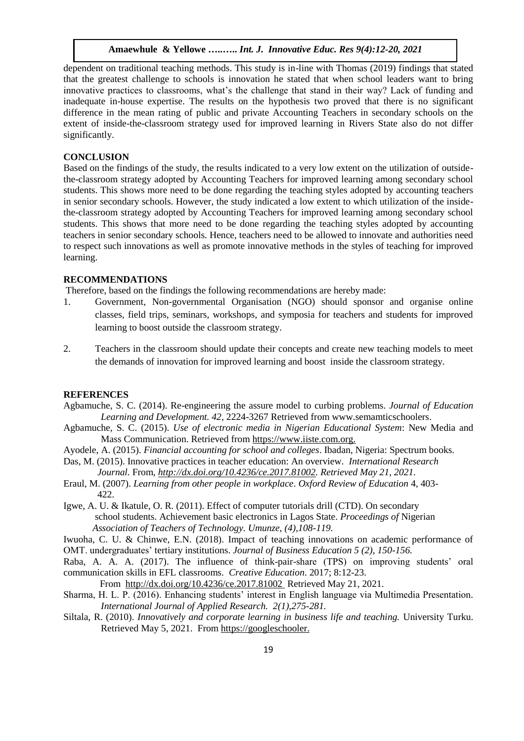dependent on traditional teaching methods. This study is in-line with Thomas (2019) findings that stated that the greatest challenge to schools is innovation he stated that when school leaders want to bring innovative practices to classrooms, what's the challenge that stand in their way? Lack of funding and inadequate in-house expertise. The results on the hypothesis two proved that there is no significant difference in the mean rating of public and private Accounting Teachers in secondary schools on the extent of inside-the-classroom strategy used for improved learning in Rivers State also do not differ significantly.

## **CONCLUSION**

Based on the findings of the study, the results indicated to a very low extent on the utilization of outsidethe-classroom strategy adopted by Accounting Teachers for improved learning among secondary school students. This shows more need to be done regarding the teaching styles adopted by accounting teachers in senior secondary schools. However, the study indicated a low extent to which utilization of the insidethe-classroom strategy adopted by Accounting Teachers for improved learning among secondary school students. This shows that more need to be done regarding the teaching styles adopted by accounting teachers in senior secondary schools. Hence, teachers need to be allowed to innovate and authorities need to respect such innovations as well as promote innovative methods in the styles of teaching for improved learning.

#### **RECOMMENDATIONS**

Therefore, based on the findings the following recommendations are hereby made:

- 1. Government, Non-governmental Organisation (NGO) should sponsor and organise online classes, field trips, seminars, workshops, and symposia for teachers and students for improved learning to boost outside the classroom strategy.
- 2. Teachers in the classroom should update their concepts and create new teaching models to meet the demands of innovation for improved learning and boost inside the classroom strategy.

#### **REFERENCES**

- Agbamuche, S. C. (2014). Re-engineering the assure model to curbing problems. *Journal of Education Learning and Development. 42,* 2224-3267 Retrieved from [www.semamticschoolers.](http://www.semamticschoolers/)
- Agbamuche, S. C. (2015). *Use of electronic media in Nigerian Educational System*: New Media and Mass Communication. Retrieved from [https://www.iiste.com.org.](https://www.iiste.com.org/)
- Ayodele, A. (2015). *Financial accounting for school and colleges*. Ibadan, Nigeria: Spectrum books.
- Das, M. (2015). Innovative practices in teacher education: An overview. *International Research Journal.* From*, http://dx.doi.org/10.4236/ce.2017.81002. Retrieved May 21, 2021.*
- Eraul, M. (2007). *Learning from other people in workplace*. *Oxford Review of Education* 4, 403- 422.
- Igwe, A. U. & Ikatule, O. R. (2011). Effect of computer tutorials drill (CTD). On secondary school students. Achievement basic electronics in Lagos State. *Proceedings of* Nigerian *Association of Teachers of Technology. Umunze, (4),108-119.*
- Iwuoha, C. U. & Chinwe, E.N. (2018). Impact of teaching innovations on academic performance of OMT. undergraduates' tertiary institutions. *Journal of Business Education 5 (2), 150-156.*
- Raba, A. A. A. (2017). The influence of think-pair-share (TPS) on improving students' oral communication skills in EFL classrooms. *Creative Education*. 2017; 8:12-23.
- From <http://dx.doi.org/10.4236/ce.2017.81002> Retrieved May 21, 2021.
- Sharma, H. L. P. (2016). Enhancing students' interest in English language via Multimedia Presentation*. International Journal of Applied Research. 2(1),275-281.*
- Siltala, R. (2010). *Innovatively and corporate learning in business life and teaching.* University Turku. Retrieved May 5, 2021. From [https://googleschooler.](https://googleschooler/)